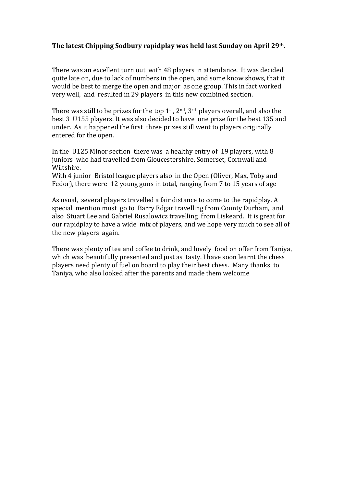## **The latest Chipping Sodbury rapidplay was held last Sunday on April 29th.**

There was an excellent turn out with 48 players in attendance. It was decided quite late on, due to lack of numbers in the open, and some know shows, that it would be best to merge the open and major as one group. This in fact worked very well, and resulted in 29 players in this new combined section.

There was still to be prizes for the top  $1<sup>st</sup>$ ,  $2<sup>nd</sup>$ ,  $3<sup>rd</sup>$  players overall, and also the best 3 U155 players. It was also decided to have one prize for the best 135 and under. As it happened the first three prizes still went to players originally entered for the open.

In the U125 Minor section there was a healthy entry of 19 players, with 8 juniors who had travelled from Gloucestershire, Somerset, Cornwall and Wiltshire.

With 4 junior Bristol league players also in the Open (Oliver, Max, Toby and Fedor), there were 12 young guns in total, ranging from 7 to 15 years of age

As usual, several players travelled a fair distance to come to the rapidplay. A special mention must go to Barry Edgar travelling from County Durham, and also Stuart Lee and Gabriel Rusalowicz travelling from Liskeard. It is great for our rapidplay to have a wide mix of players, and we hope very much to see all of the new players again.

There was plenty of tea and coffee to drink, and lovely food on offer from Taniya, which was beautifully presented and just as tasty. I have soon learnt the chess players need plenty of fuel on board to play their best chess. Many thanks to Taniya, who also looked after the parents and made them welcome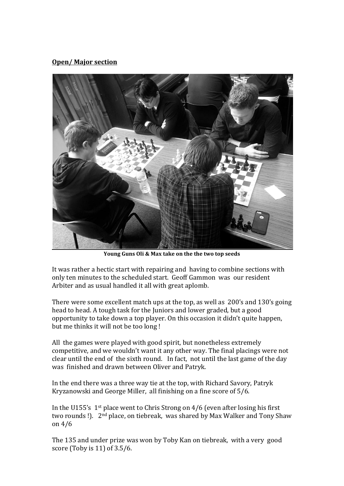## **Open/ Major section**



**Young Guns Oli & Max take on the the two top seeds**

It was rather a hectic start with repairing and having to combine sections with only ten minutes to the scheduled start. Geoff Gammon was our resident Arbiter and as usual handled it all with great aplomb.

There were some excellent match ups at the top, as well as 200's and 130's going head to head. A tough task for the Juniors and lower graded, but a good opportunity to take down a top player. On this occasion it didn't quite happen, but me thinks it will not be too long !

All the games were played with good spirit, but nonetheless extremely competitive, and we wouldn't want it any other way. The final placings were not clear until the end of the sixth round. In fact, not until the last game of the day was finished and drawn between Oliver and Patryk.

In the end there was a three way tie at the top, with Richard Savory, Patryk Kryzanowski and George Miller, all finishing on a fine score of 5/6.

In the U155's 1st place went to Chris Strong on 4/6 (even after losing his first two rounds !). 2nd place, on tiebreak, was shared by Max Walker and Tony Shaw on 4/6

The 135 and under prize was won by Toby Kan on tiebreak, with a very good score (Toby is 11) of 3.5/6.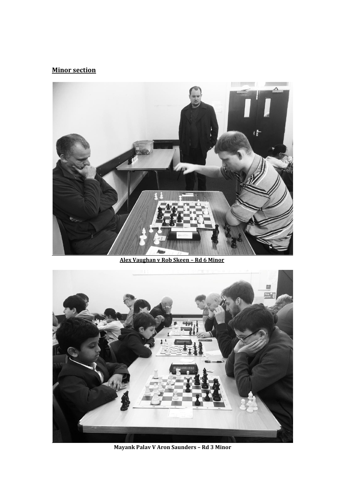## **Minor section**



**Alex Vaughan v Rob Skeen – Rd 6 Minor**



**Mayank Palav V Aron Saunders – Rd 3 Minor**